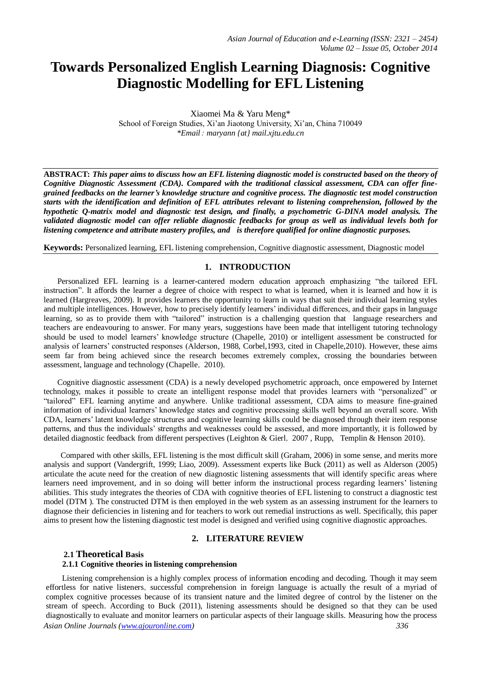# **Towards Personalized English Learning Diagnosis: Cognitive Diagnostic Modelling for EFL Listening**

Xiaomei Ma & Yaru Meng\* School of Foreign Studies, Xi'an Jiaotong University, Xi'an, China 710049 *\*Email*: *maryann {at} mail.xjtu.edu.cn*

**ABSTRACT:** *This paper aims to discuss how an EFL listening diagnostic model is constructed based on the theory of Cognitive Diagnostic Assessment (CDA). Compared with the traditional classical assessment, CDA can offer finegrained feedbacks on the learner's knowledge structure and cognitive process. The diagnostic test model construction starts with the identification and definition of EFL attributes relevant to listening comprehension, followed by the hypothetic Q-matrix model and diagnostic test design, and finally, a psychometric G-DINA model analysis. The validated diagnostic model can offer reliable diagnostic feedbacks for group as well as individual levels both for listening competence and attribute mastery profiles, and is therefore qualified for online diagnostic purposes.*

**Keywords:** Personalized learning, EFL listening comprehension, Cognitive diagnostic assessment, Diagnostic model

## **1. INTRODUCTION**

Personalized EFL learning is a learner-cantered modern education approach emphasizing "the tailored EFL instruction". It affords the learner a degree of choice with respect to what is learned, when it is learned and how it is learned (Hargreaves, 2009). It provides learners the opportunity to learn in ways that suit their individual learning styles and multiple intelligences. However, how to precisely identify learners' individual differences, and their gaps in language learning, so as to provide them with "tailored" instruction is a challenging question that language researchers and teachers are endeavouring to answer. For many years, suggestions have been made that intelligent tutoring technology should be used to model learners' knowledge structure (Chapelle, 2010) or intelligent assessment be constructed for analysis of learners' constructed responses (Alderson, 1988, Corbel,1993, cited in Chapelle,2010). However, these aims seem far from being achieved since the research becomes extremely complex, crossing the boundaries between assessment, language and technology (Chapelle,2010).

Cognitive diagnostic assessment (CDA) is a newly developed psychometric approach, once empowered by Internet technology, makes it possible to create an intelligent response model that provides learners with "personalized" or "tailored" EFL learning anytime and anywhere. Unlike traditional assessment, CDA aims to measure fine-grained information of individual learners' knowledge states and cognitive processing skills well beyond an overall score. With CDA, learners' latent knowledge structures and cognitive learning skills could be diagnosed through their item response patterns, and thus the individuals' strengths and weaknesses could be assessed, and more importantly, it is followed by detailed diagnostic feedback from different perspectives (Leighton & Gierl, 2007, Rupp, Templin & Henson 2010).

Compared with other skills, EFL listening is the most difficult skill (Graham, 2006) in some sense, and merits more analysis and support (Vandergrift, 1999; Liao, 2009). Assessment experts like Buck (2011) as well as Alderson (2005) articulate the acute need for the creation of new diagnostic listening assessments that will identify specific areas where learners need improvement, and in so doing will better inform the instructional process regarding learners' listening abilities. This study integrates the theories of CDA with cognitive theories of EFL listening to construct a diagnostic test model (DTM ). The constructed DTM is then employed in the web system as an assessing instrument for the learners to diagnose their deficiencies in listening and for teachers to work out remedial instructions as well. Specifically, this paper aims to present how the listening diagnostic test model is designed and verified using cognitive diagnostic approaches.

# **2. LITERATURE REVIEW**

## **2.1 Theoretical Basis**

## **2.1.1 Cognitive theories in listening comprehension**

*Asian Online Journals (www.ajouronline.com) 336* Listening comprehension is a highly complex process of information encoding and decoding. Though it may seem effortless for native listeners, successful comprehension in foreign language is actually the result of a myriad of complex cognitive processes because of its transient nature and the limited degree of control by the listener on the stream of speech. According to Buck (2011), listening assessments should be designed so that they can be used diagnostically to evaluate and monitor learners on particular aspects of their language skills. Measuring how the process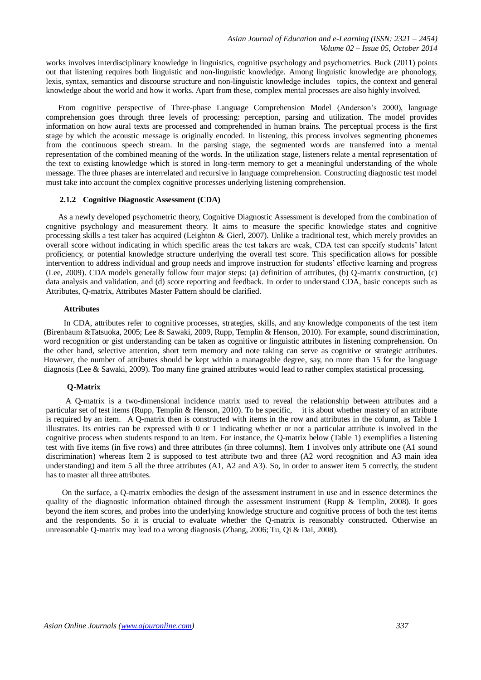works involves interdisciplinary knowledge in linguistics, cognitive psychology and psychometrics. Buck (2011) points out that listening requires both linguistic and non-linguistic knowledge. Among linguistic knowledge are phonology, lexis, syntax, semantics and discourse structure and non-linguistic knowledge includes topics, the context and general knowledge about the world and how it works. Apart from these, complex mental processes are also highly involved.

From cognitive perspective of Three-phase Language Comprehension Model (Anderson's 2000), language comprehension goes through three levels of processing: perception, parsing and utilization. The model provides information on how aural texts are processed and comprehended in human brains. The perceptual process is the first stage by which the acoustic message is originally encoded. In listening, this process involves segmenting phonemes from the continuous speech stream. In the parsing stage, the segmented words are transferred into a mental representation of the combined meaning of the words. In the utilization stage, listeners relate a mental representation of the text to existing knowledge which is stored in long-term memory to get a meaningful understanding of the whole message. The three phases are interrelated and recursive in language comprehension. Constructing diagnostic test model must take into account the complex cognitive processes underlying listening comprehension.

## **2.1.2 Cognitive Diagnostic Assessment (CDA)**

As a newly developed psychometric theory, Cognitive Diagnostic Assessment is developed from the combination of cognitive psychology and measurement theory. It aims to measure the specific knowledge states and cognitive processing skills a test taker has acquired (Leighton & Gierl, 2007). Unlike a traditional test, which merely provides an overall score without indicating in which specific areas the test takers are weak, CDA test can specify students' latent proficiency, or potential knowledge structure underlying the overall test score. This specification allows for possible intervention to address individual and group needs and improve instruction for students' effective learning and progress (Lee, 2009). CDA models generally follow four major steps: (a) definition of attributes, (b) Q-matrix construction, (c) data analysis and validation, and (d) score reporting and feedback. In order to understand CDA, basic concepts such as Attributes, Q-matrix, Attributes Master Pattern should be clarified.

#### **Attributes**

In CDA, attributes refer to cognitive processes, strategies, skills, and any knowledge components of the test item (Birenbaum &Tatsuoka, 2005; Lee & Sawaki, 2009, Rupp, Templin & Henson, 2010). For example, sound discrimination, word recognition or gist understanding can be taken as cognitive or linguistic attributes in listening comprehension. On the other hand, selective attention, short term memory and note taking can serve as cognitive or strategic attributes. However, the number of attributes should be kept within a manageable degree, say, no more than 15 for the language diagnosis (Lee & Sawaki, 2009). Too many fine grained attributes would lead to rather complex statistical processing.

#### **Q-Matrix**

A Q-matrix is a two-dimensional incidence matrix used to reveal the relationship between attributes and a particular set of test items (Rupp, Templin & Henson, 2010). To be specific, it is about whether mastery of an attribute is required by an item. A Q-matrix then is constructed with items in the row and attributes in the column, as Table 1 illustrates. Its entries can be expressed with 0 or 1 indicating whether or not a particular attribute is involved in the cognitive process when students respond to an item. For instance, the Q-matrix below (Table 1) exemplifies a listening test with five items (in five rows) and three attributes (in three columns). Item 1 involves only attribute one (A1 sound discrimination) whereas Item 2 is supposed to test attribute two and three (A2 word recognition and A3 main idea understanding) and item 5 all the three attributes (A1, A2 and A3). So, in order to answer item 5 correctly, the student has to master all three attributes.

On the surface, a Q-matrix embodies the design of the assessment instrument in use and in essence determines the quality of the diagnostic information obtained through the assessment instrument (Rupp & Templin, 2008). It goes beyond the item scores, and probes into the underlying knowledge structure and cognitive process of both the test items and the respondents. So it is crucial to evaluate whether the Q-matrix is reasonably constructed. Otherwise an unreasonable Q-matrix may lead to a wrong diagnosis (Zhang, 2006; Tu, Qi & Dai, 2008).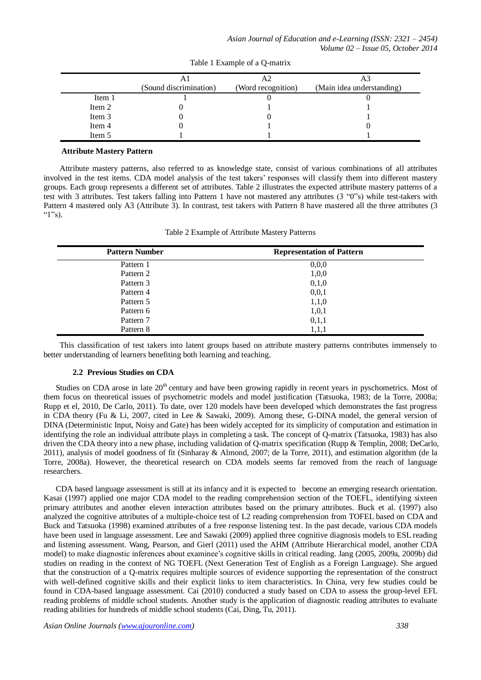|        | (Sound discrimination) | (Word recognition) | (Main idea understanding) |
|--------|------------------------|--------------------|---------------------------|
| Item 1 |                        |                    |                           |
| Item 2 |                        |                    |                           |
| Item 3 |                        |                    |                           |
| Item 4 |                        |                    |                           |
| Item 5 |                        |                    |                           |

Table 1 Example of a Q-matrix

#### **Attribute Mastery Pattern**

Attribute mastery patterns, also referred to as knowledge state, consist of various combinations of all attributes involved in the test items. CDA model analysis of the test takers' responses will classify them into different mastery groups. Each group represents a different set of attributes. Table 2 illustrates the expected attribute mastery patterns of a test with 3 attributes. Test takers falling into Pattern 1 have not mastered any attributes (3 "0"s) while test-takers with Pattern 4 mastered only A3 (Attribute 3). In contrast, test takers with Pattern 8 have mastered all the three attributes (3 " $1"s$ ).

| <b>Pattern Number</b> | <b>Representation of Pattern</b> |
|-----------------------|----------------------------------|
| Pattern 1             | 0,0,0                            |
| Pattern 2             | 1,0,0                            |
| Pattern 3             | 0,1,0                            |
| Pattern 4             | 0,0,1                            |
| Pattern 5             | 1,1,0                            |
| Pattern 6             | 1,0,1                            |
| Pattern 7             | 0,1,1                            |
| Pattern 8             | 1,1,1                            |

Table 2 Example of Attribute Mastery Patterns

This classification of test takers into latent groups based on attribute mastery patterns contributes immensely to better understanding of learners benefiting both learning and teaching.

#### **2.2 Previous Studies on CDA**

Studies on CDA arose in late  $20<sup>th</sup>$  century and have been growing rapidly in recent years in pyschometrics. Most of them focus on theoretical issues of psychometric models and model justification (Tatsuoka, 1983; de la Torre, 2008a; Rupp et el, 2010, De Carlo, 2011). To date, over 120 models have been developed which demonstrates the fast progress in CDA theory (Fu & Li, 2007, cited in Lee & Sawaki, 2009). Among these, G-DINA model, the general version of DINA (Deterministic Input, Noisy and Gate) has been widely accepted for its simplicity of computation and estimation in identifying the role an individual attribute plays in completing a task. The concept of Q-matrix (Tatsuoka, 1983) has also driven the CDA theory into a new phase, including validation of Q-matrix specification (Rupp & Templin, 2008; DeCarlo, 2011), analysis of model goodness of fit (Sinharay & Almond, 2007; de la Torre, 2011), and estimation algorithm (de la Torre, 2008a). However, the theoretical research on CDA models seems far removed from the reach of language researchers.

CDA based language assessment is still at its infancy and it is expected to become an emerging research orientation. Kasai (1997) applied one major CDA model to the reading comprehension section of the TOEFL, identifying sixteen primary attributes and another eleven interaction attributes based on the primary attributes. Buck et al. (1997) also analyzed the cognitive attributes of a multiple-choice test of L2 reading comprehension from TOFEL based on CDA and Buck and Tatsuoka (1998) examined attributes of a free response listening test. In the past decade, various CDA models have been used in language assessment. Lee and Sawaki (2009) applied three cognitive diagnosis models to ESL reading and listening assessment. Wang, Pearson, and Gierl (2011) used the AHM (Attribute Hierarchical model, another CDA model) to make diagnostic inferences about examinee's cognitive skills in critical reading. Jang (2005, 2009a, 2009b) did studies on reading in the context of NG TOEFL (Next Generation Test of English as a Foreign Language). She argued that the construction of a Q-matrix requires multiple sources of evidence supporting the representation of the construct with well-defined cognitive skills and their explicit links to item characteristics. In China, very few studies could be found in CDA-based language assessment. Cai (2010) conducted a study based on CDA to assess the group-level EFL reading problems of middle school students. Another study is the application of diagnostic reading attributes to evaluate reading abilities for hundreds of middle school students (Cai, Ding, Tu, 2011).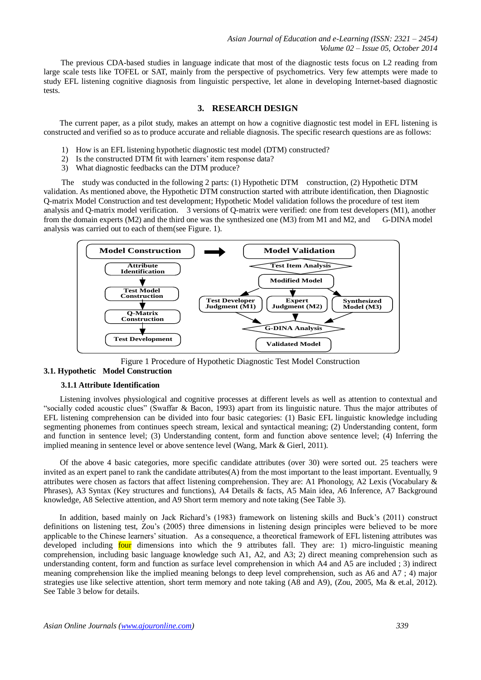The previous CDA-based studies in language indicate that most of the diagnostic tests focus on L2 reading from large scale tests like TOFEL or SAT, mainly from the perspective of psychometrics. Very few attempts were made to study EFL listening cognitive diagnosis from linguistic perspective, let alone in developing Internet-based diagnostic tests.

#### **3. RESEARCH DESIGN**

The current paper, as a pilot study, makes an attempt on how a cognitive diagnostic test model in EFL listening is constructed and verified so as to produce accurate and reliable diagnosis. The specific research questions are as follows:

- 1) How is an EFL listening hypothetic diagnostic test model (DTM) constructed?
- 2) Is the constructed DTM fit with learners' item response data?
- 3) What diagnostic feedbacks can the DTM produce?

The study was conducted in the following 2 parts: (1) Hypothetic DTM construction, (2) Hypothetic DTM validation. As mentioned above, the Hypothetic DTM construction started with attribute identification, then Diagnostic Q-matrix Model Construction and test development; Hypothetic Model validation follows the procedure of test item analysis and Q-matrix model verification. 3 versions of Q-matrix were verified: one from test developers (M1), another from the domain experts (M2) and the third one was the synthesized one (M3) from M1 and M2, and G-DINA model analysis was carried out to each of them(see Figure. 1).



Figure 1 Procedure of Hypothetic Diagnostic Test Model Construction

## **3.1. Hypothetic Model Construction**

#### **3.1.1 Attribute Identification**

Listening involves physiological and cognitive processes at different levels as well as attention to contextual and "socially coded acoustic clues" (Swaffar & Bacon, 1993) apart from its linguistic nature. Thus the major attributes of EFL listening comprehension can be divided into four basic categories: (1) Basic EFL linguistic knowledge including segmenting phonemes from continues speech stream, lexical and syntactical meaning; (2) Understanding content, form and function in sentence level; (3) Understanding content, form and function above sentence level; (4) Inferring the implied meaning in sentence level or above sentence level (Wang, Mark & Gierl, 2011).

Of the above 4 basic categories, more specific candidate attributes (over 30) were sorted out. 25 teachers were invited as an expert panel to rank the candidate attributes(A) from the most important to the least important. Eventually, 9 attributes were chosen as factors that affect listening comprehension. They are: A1 Phonology, A2 Lexis (Vocabulary & Phrases), A3 Syntax (Key structures and functions), A4 Details & facts, A5 Main idea, A6 Inference, A7 Background knowledge, A8 Selective attention, and A9 Short term memory and note taking (See Table 3).

In addition, based mainly on Jack Richard's (1983) framework on listening skills and Buck's (2011) construct definitions on listening test, Zou's (2005) three dimensions in listening design principles were believed to be more applicable to the Chinese learners' situation. As a consequence, a theoretical framework of EFL listening attributes was developed including four dimensions into which the 9 attributes fall. They are: 1) micro-linguistic meaning comprehension, including basic language knowledge such A1, A2, and A3; 2) direct meaning comprehension such as understanding content, form and function as surface level comprehension in which A4 and A5 are included ; 3) indirect meaning comprehension like the implied meaning belongs to deep level comprehension, such as A6 and A7 ; 4) major strategies use like selective attention, short term memory and note taking (A8 and A9), (Zou, 2005, Ma & et.al, 2012). See Table 3 below for details.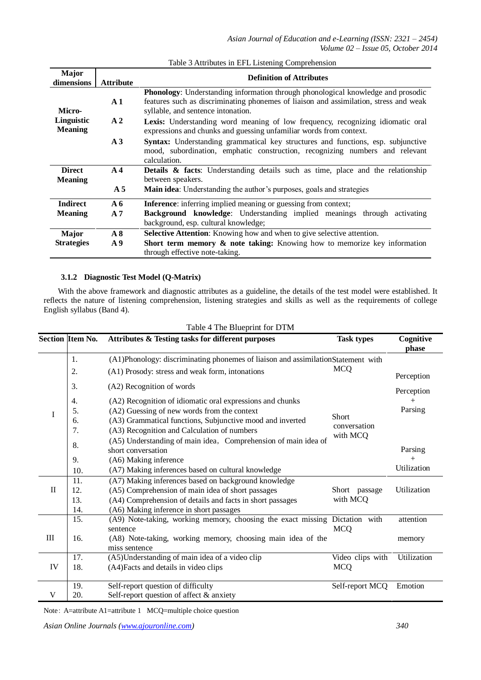| <b>Major</b><br>dimensions   | <b>Attribute</b>                                                                                                                                                                 | <b>Definition of Attributes</b>                                                                                                                                                                                        |
|------------------------------|----------------------------------------------------------------------------------------------------------------------------------------------------------------------------------|------------------------------------------------------------------------------------------------------------------------------------------------------------------------------------------------------------------------|
| Micro-                       | $\mathbf{A}$ 1                                                                                                                                                                   | <b>Phonology:</b> Understanding information through phonological knowledge and prosodic<br>features such as discriminating phonemes of liaison and assimilation, stress and weak<br>syllable, and sentence intonation. |
| Linguistic<br><b>Meaning</b> | A <sub>2</sub>                                                                                                                                                                   | Lexis: Understanding word meaning of low frequency, recognizing idiomatic oral<br>expressions and chunks and guessing unfamiliar words from context.                                                                   |
|                              | Syntax: Understanding grammatical key structures and functions, esp. subjunctive<br>mood, subordination, emphatic construction, recognizing numbers and relevant<br>calculation. |                                                                                                                                                                                                                        |
| <b>Direct</b>                | A <sub>4</sub>                                                                                                                                                                   | <b>Details &amp; facts:</b> Understanding details such as time, place and the relationship                                                                                                                             |
| <b>Meaning</b>               | A <sub>5</sub>                                                                                                                                                                   | between speakers.<br><b>Main idea</b> : Understanding the author's purposes, goals and strategies                                                                                                                      |
| <b>Indirect</b>              | A6                                                                                                                                                                               | <b>Inference:</b> inferring implied meaning or guessing from context;                                                                                                                                                  |
| <b>Meaning</b>               | A <sub>7</sub>                                                                                                                                                                   | Background knowledge: Understanding implied meanings through activating<br>background, esp. cultural knowledge;                                                                                                        |
| <b>Major</b>                 | A8                                                                                                                                                                               | <b>Selective Attention:</b> Knowing how and when to give selective attention.                                                                                                                                          |
| <b>Strategies</b>            | A 9                                                                                                                                                                              | <b>Short term memory &amp; note taking:</b> Knowing how to memorize key information                                                                                                                                    |
|                              |                                                                                                                                                                                  | through effective note-taking.                                                                                                                                                                                         |

## Table 3 Attributes in EFL Listening Comprehension

# **3.1.2 Diagnostic Test Model (Q-Matrix)**

With the above framework and diagnostic attributes as a guideline, the details of the test model were established. It reflects the nature of listening comprehension, listening strategies and skills as well as the requirements of college English syllabus (Band 4).

|              | <b>Section Item No.</b> | Attributes & Testing tasks for different purposes                                | <b>Task types</b>            | Cognitive<br>phase |
|--------------|-------------------------|----------------------------------------------------------------------------------|------------------------------|--------------------|
|              | 1.                      | (A1)Phonology: discriminating phonemes of liaison and assimilationStatement with |                              |                    |
|              | 2.                      | (A1) Prosody: stress and weak form, intonations                                  | <b>MCQ</b>                   | Perception         |
|              | 3.                      | (A2) Recognition of words                                                        |                              | Perception         |
|              | 4.                      | (A2) Recognition of idiomatic oral expressions and chunks                        |                              |                    |
| I            | 5.                      | (A2) Guessing of new words from the context                                      |                              | Parsing            |
|              | 6.                      | (A3) Grammatical functions, Subjunctive mood and inverted                        | <b>Short</b><br>conversation |                    |
|              | 7.                      | (A3) Recognition and Calculation of numbers                                      | with MCQ                     |                    |
|              | 8.                      | (A5) Understanding of main idea, Comprehension of main idea of                   |                              |                    |
|              |                         | short conversation                                                               |                              | Parsing            |
|              | 9.                      | (A6) Making inference                                                            |                              |                    |
|              | 10.                     | (A7) Making inferences based on cultural knowledge                               |                              | Utilization        |
|              | 11.                     | (A7) Making inferences based on background knowledge                             |                              |                    |
| $\mathbf{I}$ | 12.                     | (A5) Comprehension of main idea of short passages                                | Short passage                | Utilization        |
|              | 13.                     | (A4) Comprehension of details and facts in short passages                        | with MCQ                     |                    |
|              | 14.                     | (A6) Making inference in short passages                                          |                              |                    |
|              | 15.                     | (A9) Note-taking, working memory, choosing the exact missing Dictation with      |                              | attention          |
|              |                         | sentence                                                                         | <b>MCQ</b>                   |                    |
| Ш            | 16.                     | (A8) Note-taking, working memory, choosing main idea of the                      |                              | memory             |
|              |                         | miss sentence                                                                    |                              |                    |
|              | 17.                     | (A5)Understanding of main idea of a video clip                                   | Video clips with             | Utilization        |
| IV           | 18.                     | (A4) Facts and details in video clips                                            | <b>MCQ</b>                   |                    |
|              | 19.                     | Self-report question of difficulty                                               | Self-report MCQ              | Emotion            |
| V            | 20.                     | Self-report question of affect & anxiety                                         |                              |                    |

## Table 4 The Blueprint for DTM

Note: A=attribute A1=attribute 1 MCQ=multiple choice question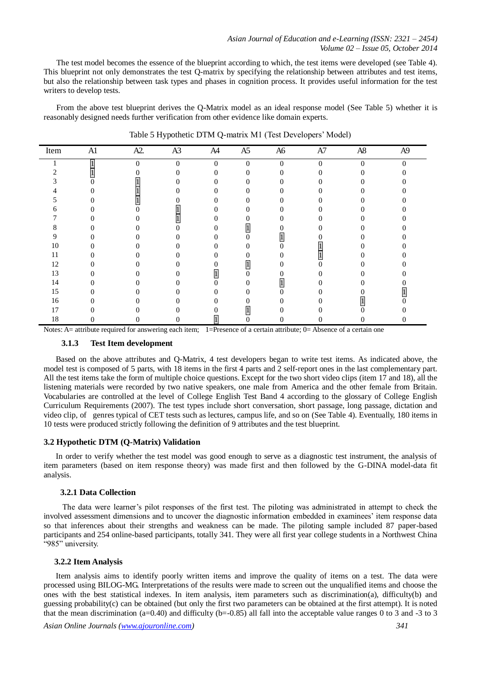The test model becomes the essence of the blueprint according to which, the test items were developed (see Table 4). This blueprint not only demonstrates the test Q-matrix by specifying the relationship between attributes and test items, but also the relationship between task types and phases in cognition process. It provides useful information for the test writers to develop tests.

From the above test blueprint derives the Q-Matrix model as an ideal response model (See Table 5) whether it is reasonably designed needs further verification from other evidence like domain experts.

| Item | A1 | A2.      | A3       | A4           | A5           | A6       | $\rm A7$ | $\rm A8$ | A9       |
|------|----|----------|----------|--------------|--------------|----------|----------|----------|----------|
|      |    | $\Omega$ | $\Omega$ | $\mathbf{0}$ | $\mathbf{0}$ | $\Omega$ | $\theta$ | $\Omega$ | $\Omega$ |
|      |    |          | $^{(1)}$ | 0            | 0            | 0        |          |          |          |
|      |    |          |          | 0            |              |          |          |          |          |
|      |    |          |          | 0            |              |          |          |          |          |
|      |    |          |          |              |              |          |          |          |          |
|      |    |          |          |              |              |          |          |          |          |
|      |    |          |          |              |              |          |          |          |          |
|      |    | I)       |          |              |              |          |          |          |          |
| 9    |    |          |          |              |              |          |          |          |          |
| 10   |    |          |          |              |              |          |          |          |          |
|      |    | D.       |          | 0            |              |          |          |          |          |
| 12   |    |          |          |              |              |          |          |          |          |
| 13   |    |          |          |              |              |          |          |          |          |
| 14   |    |          |          | 0            |              |          |          |          |          |
| 15   |    | D.       |          | 0            |              |          |          |          |          |
| 16   |    |          |          |              |              |          |          |          |          |
| 17   |    |          |          |              |              |          |          |          |          |
| 18   |    |          |          |              |              |          |          |          |          |

Table 5 Hypothetic DTM Q-matrix M1 (Test Developers' Model)

Notes: A= attribute required for answering each item;  $1=$ Presence of a certain attribute; 0= Absence of a certain one

#### **3.1.3 Test Item development**

Based on the above attributes and Q-Matrix, 4 test developers began to write test items. As indicated above, the model test is composed of 5 parts, with 18 items in the first 4 parts and 2 self-report ones in the last complementary part. All the test items take the form of multiple choice questions. Except for the two short video clips (item 17 and 18), all the listening materials were recorded by two native speakers, one male from America and the other female from Britain. Vocabularies are controlled at the level of College English Test Band 4 according to the glossary of College English Curriculum Requirements (2007). The test types include short conversation, short passage, long passage, dictation and video clip, of genres typical of CET tests such as lectures, campus life, and so on (See Table 4). Eventually, 180 items in 10 tests were produced strictly following the definition of 9 attributes and the test blueprint.

## **3.2 Hypothetic DTM (Q-Matrix) Validation**

In order to verify whether the test model was good enough to serve as a diagnostic test instrument, the analysis of item parameters (based on item response theory) was made first and then followed by the G-DINA model-data fit analysis.

#### **3.2.1 Data Collection**

 The data were learner's pilot responses of the first test. The piloting was administrated in attempt to check the involved assessment dimensions and to uncover the diagnostic information embedded in examinees' item response data so that inferences about their strengths and weakness can be made. The piloting sample included 87 paper-based participants and 254 online-based participants, totally 341. They were all first year college students in a Northwest China "985" university.

#### **3.2.2 Item Analysis**

Item analysis aims to identify poorly written items and improve the quality of items on a test. The data were processed using BILOG-MG. Interpretations of the results were made to screen out the unqualified items and choose the ones with the best statistical indexes. In item analysis, item parameters such as discrimination(a), difficulty(b) and guessing probability(c) can be obtained (but only the first two parameters can be obtained at the first attempt). It is noted that the mean discrimination (a=0.40) and difficulty (b=-0.85) all fall into the acceptable value ranges 0 to 3 and -3 to 3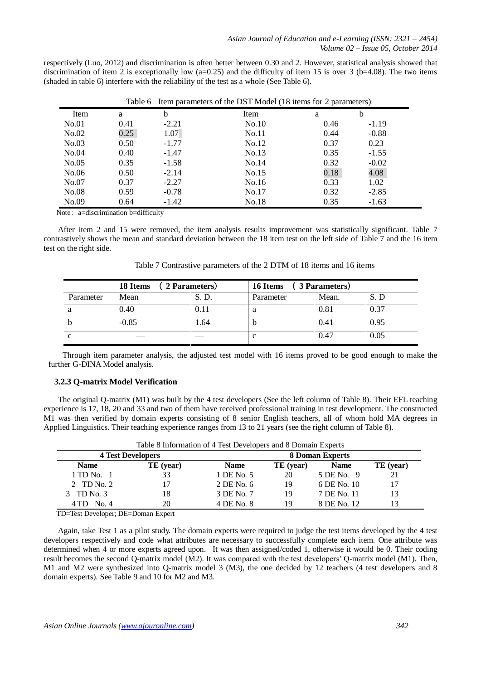respectively (Luo, 2012) and discrimination is often better between 0.30 and 2. However, statistical analysis showed that discrimination of item 2 is exceptionally low  $(a=0.25)$  and the difficulty of item 15 is over 3 (b=4.08). The two items (shaded in table 6) interfere with the reliability of the test as a whole (See Table 6).

|       | raoiv v |         | $\mu$ and $\mu$ and $\mu$ and $\mu$ and $\mu$ and $\mu$ and $\mu$ and $\mu$ and $\mu$ and $\mu$ |      |         |  |
|-------|---------|---------|-------------------------------------------------------------------------------------------------|------|---------|--|
| Item  | a       | b       | Item                                                                                            | a    | b       |  |
| No.01 | 0.41    | $-2.21$ | No.10                                                                                           | 0.46 | $-1.19$ |  |
| No.02 | 0.25    | 1.07    | No.11                                                                                           | 0.44 | $-0.88$ |  |
| No.03 | 0.50    | $-1.77$ | No.12                                                                                           | 0.37 | 0.23    |  |
| No.04 | 0.40    | $-1.47$ | No.13                                                                                           | 0.35 | $-1.55$ |  |
| No.05 | 0.35    | $-1.58$ | No.14                                                                                           | 0.32 | $-0.02$ |  |
| No.06 | 0.50    | $-2.14$ | No.15                                                                                           | 0.18 | 4.08    |  |
| No.07 | 0.37    | $-2.27$ | No.16                                                                                           | 0.33 | 1.02    |  |
| No.08 | 0.59    | $-0.78$ | No.17                                                                                           | 0.32 | $-2.85$ |  |
| No.09 | 0.64    | $-1.42$ | No.18                                                                                           | 0.35 | $-1.63$ |  |

Table 6 Item parameters of the DST Model (18 items for 2 parameters)

Note: a=discrimination b=difficulty

After item 2 and 15 were removed, the item analysis results improvement was statistically significant. Table 7 contrastively shows the mean and standard deviation between the 18 item test on the left side of Table 7 and the 16 item test on the right side.

| Table 7 Contrastive parameters of the 2 DTM of 18 items and 16 items |
|----------------------------------------------------------------------|
|                                                                      |

|           | 18 Items<br>2 Parameters |       | (3 Parameters)<br>16 Items |       |      |  |  |  |
|-----------|--------------------------|-------|----------------------------|-------|------|--|--|--|
| Parameter | Mean                     | S. D. | Parameter                  | Mean. | S. D |  |  |  |
|           | 0.40                     |       | a                          | 0.81  | 0.37 |  |  |  |
|           | $-0.85$                  | .64   | D                          | (0.4) | 0.95 |  |  |  |
| c         |                          |       | c                          | 0.47  | 0.05 |  |  |  |

Through item parameter analysis, the adjusted test model with 16 items proved to be good enough to make the further G-DINA Model analysis.

## **3.2.3 Q-matrix Model Verification**

The original Q-matrix (M1) was built by the 4 test developers (See the left column of Table 8). Their EFL teaching experience is 17, 18, 20 and 33 and two of them have received professional training in test development. The constructed M1 was then verified by domain experts consisting of 8 senior English teachers, all of whom hold MA degrees in Applied Linguistics. Their teaching experience ranges from 13 to 21 years (see the right column of Table 8).

|                          | Table 8 information of 4 Test Developers and 8 Domain Experts |             |                        |             |           |  |  |  |  |  |  |
|--------------------------|---------------------------------------------------------------|-------------|------------------------|-------------|-----------|--|--|--|--|--|--|
| <b>4 Test Developers</b> |                                                               |             | <b>8 Doman Experts</b> |             |           |  |  |  |  |  |  |
| <b>Name</b>              | TE (year)                                                     | <b>Name</b> | TE (year)              | <b>Name</b> | TE (year) |  |  |  |  |  |  |
| 1 TD No. 1               | 33                                                            | 1 DE No. 5  | 20                     | 5 DE No. 9  | 21        |  |  |  |  |  |  |
| 2 TD No. 2               | 17                                                            | 2 DE No. 6  | 19                     | 6 DE No. 10 |           |  |  |  |  |  |  |
| 3 TD No. 3               | 18                                                            | 3 DE No. 7  | 19                     | 7 DE No. 11 |           |  |  |  |  |  |  |
| $4 TD$ No. 4             | 20                                                            | 4 DE No. 8  | 19                     | 8 DE No. 12 |           |  |  |  |  |  |  |

Table 8 Information of 4 Test Developers and 8 Domain Experts

TD=Test Developer; DE=Doman Expert

Again, take Test 1 as a pilot study. The domain experts were required to judge the test items developed by the 4 test developers respectively and code what attributes are necessary to successfully complete each item. One attribute was determined when 4 or more experts agreed upon. It was then assigned/coded 1, otherwise it would be 0. Their coding result becomes the second Q-matrix model (M2). It was compared with the test developers' Q-matrix model (M1). Then, M1 and M2 were synthesized into Q-matrix model 3 (M3), the one decided by 12 teachers (4 test developers and 8 domain experts). See Table 9 and 10 for M2 and M3.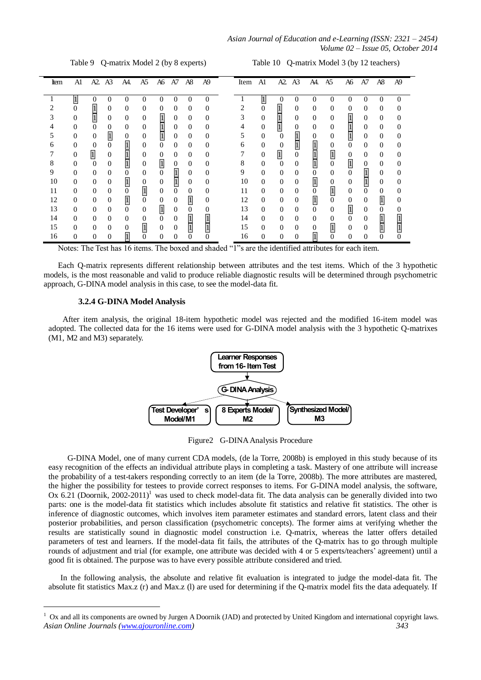*Asian Journal of Education and e-Learning (ISSN: 2321 – 2454) Volume 02 – Issue 05, October 2014*

Table 9 Q-matrix Model 2 (by 8 experts) Table 10 Q-matrix Model 3 (by 12 teachers)

| Item | A1       | A2. A3         |                | A4.            | A <sub>5</sub>   | A6             | A7           | A8       | A <sub>9</sub> | Item A1 |                | A2               | A <sup>3</sup> | A4.            | A5               | A6             | A7                | A8       | A9 |
|------|----------|----------------|----------------|----------------|------------------|----------------|--------------|----------|----------------|---------|----------------|------------------|----------------|----------------|------------------|----------------|-------------------|----------|----|
|      |          | 0              | 0              | 0              | 0                | 0              | 0            | 0        | $\Omega$       |         |                | $\Omega$         | 0              | 0              | $\Omega$         | 0              | $\mathbf{\Omega}$ | 0        |    |
|      | 0        | $\mathbf{1}$   | $\Omega$       | $\Omega$       | $\Omega$         | 0              | 0            | $\Omega$ | $\Omega$       | 2       | $\mathbf{0}$   | $\boldsymbol{1}$ | $\Omega$       | $\Omega$       | $\Omega$         | $\Omega$       | $\Omega$          | $\Omega$ |    |
|      | 0        | $\mathbf{1}$   | $\theta$       | $\Omega$       | $\overline{0}$   |                | 0            | $\Omega$ | 0              | 3       | $\mathbf{0}$   |                  | $\Omega$       | $\Omega$       | $\theta$         | $\overline{1}$ | $\Omega$          | $\theta$ |    |
|      | $\theta$ | $\mathbf{0}$   | $\Omega$       | $\Omega$       | $\overline{0}$   |                | $\Omega$     | $\theta$ | $\Omega$       |         | $\mathbf{0}$   |                  | $\Omega$       | $\Omega$       | $\theta$         | $\vert$        | $\Omega$          | $\Omega$ | 0  |
|      | $\theta$ | $\mathbf{0}$   | $\overline{1}$ | 0              | $\overline{0}$   |                | 0            | $\theta$ | 0              | 5.      | $\overline{0}$ | $\Omega$         |                | $\theta$       | $\theta$         | $\mathbf{1}$   | $\Omega$          | $\Omega$ |    |
| 6    | $\Omega$ | $\theta$       | $\Omega$       | $\overline{1}$ | $\Omega$         | $\theta$       | $\Omega$     | $\Omega$ | $\Omega$       | 6       | $\overline{0}$ | $\theta$         |                | $\overline{1}$ | $\overline{0}$   | $\Omega$       | $\Omega$          | $\Omega$ |    |
|      | $\theta$ | $\overline{1}$ | $\theta$       |                | $\theta$         | $\mathbf{0}$   | 0            | $\theta$ | $\Omega$       |         | $\overline{0}$ | $\overline{1}$   | $\overline{0}$ |                | $\overline{1}$   | $\mathbf{0}$   | $\Omega$          | $\Omega$ | 0  |
| 8    | $\theta$ | $\theta$       | $\overline{0}$ |                | $\mathbf{0}$     | $\overline{1}$ | 0            | $\Omega$ | $\Omega$       | 8       | $\overline{0}$ | $\Omega$         | $\Omega$       |                | $\overline{0}$   | $\overline{1}$ | $\mathbf{0}$      | $\Omega$ | 0  |
| 9    | $\Omega$ | $\overline{0}$ | $\Omega$       | $\Omega$       | $\Omega$         | $\theta$       | $\mathbf{1}$ | $\Omega$ | 0              | 9       | $\Omega$       | $\Omega$         | $\Omega$       | $\Omega$       | $\Omega$         | $\Omega$       | $\mathbf{1}$      | $\Omega$ | 0  |
| 10   | $\Omega$ | $\mathbf{0}$   | $\Omega$       | 1              | $\boldsymbol{0}$ | $\mathbf{0}$   |              | $\Omega$ | 0              | 10      | $\Omega$       | $\Omega$         | $\Omega$       | $\mathbf{1}$   | $\boldsymbol{0}$ | $\mathbf{0}$   |                   | $\Omega$ |    |
| 11   | $\Omega$ | $\Omega$       | $\Omega$       | $\mathbf{0}$   | $\overline{1}$   | $\mathbf{0}$   | 0            | $\Omega$ | 0              | 11      | $\Omega$       | $\Omega$         | $\Omega$       | $\Omega$       | $\overline{1}$   | $\mathbf{0}$   | $\Omega$          | $\Omega$ |    |
| 12   | $\Omega$ | $\mathbf{0}$   | $\Omega$       | $\mathbf{1}$   | $\overline{0}$   | $\theta$       | 0            | $\vert$  | 0              | 12      | $\theta$       | $\Omega$         | $\Omega$       |                | $\overline{0}$   | $\mathbf{0}$   | $\Omega$          | $\vert$  |    |
| 13   | $\Omega$ | $\Omega$       | $\Omega$       | $\Omega$       | $\Omega$         | $\overline{1}$ | 0            | 0        | 0              | 13      | $\theta$       | $\Omega$         | $\Omega$       | $\Omega$       | $\Omega$         | $\overline{1}$ | $\Omega$          | $\Omega$ |    |
| 14   | $\Omega$ | $\Omega$       | $\Omega$       | $\Omega$       | $\mathbf{0}$     | $\Omega$       | 0            |          |                | 14      | $\theta$       | $\Omega$         | $\Omega$       | $\Omega$       | 0                | $\Omega$       | $\theta$          |          |    |
| 15   | $\Omega$ | $\Omega$       | $\Omega$       | 0              | $\overline{1}$   | $\mathbf{0}$   | $\Omega$     |          |                | 15      | $\theta$       | $\Omega$         | $\Omega$       | $\Omega$       | $\overline{1}$   | $\mathbf{0}$   | $\Omega$          |          |    |
| 16   |          | 0              | 0              |                | 0                | 0              |              |          |                | 16      | $\Omega$       | $\Omega$         |                |                |                  | 0              |                   |          |    |

Notes: The Test has 16 items. The boxed and shaded "1"s are the identified attributes for each item.

Each Q-matrix represents different relationship between attributes and the test items. Which of the 3 hypothetic models, is the most reasonable and valid to produce reliable diagnostic results will be determined through psychometric approach, G-DINA model analysis in this case, to see the model-data fit.

#### **3.2.4 G-DINA Model Analysis**

-

After item analysis, the original 18-item hypothetic model was rejected and the modified 16-item model was adopted. The collected data for the 16 items were used for G-DINA model analysis with the 3 hypothetic Q-matrixes (M1, M2 and M3) separately.



Figure2 G-DINA Analysis Procedure

G-DINA Model, one of many current CDA models, (de la Torre, 2008b) is employed in this study because of its easy recognition of the effects an individual attribute plays in completing a task. Mastery of one attribute will increase the probability of a test-takers responding correctly to an item (de la Torre, 2008b). The more attributes are mastered, the higher the possibility for testees to provide correct responses to items. For G-DINA model analysis, the software, Ox 6.21 (Doornik, 2002-2011)<sup>1</sup> was used to check model-data fit. The data analysis can be generally divided into two parts: one is the model-data fit statistics which includes absolute fit statistics and relative fit statistics. The other is inference of diagnostic outcomes, which involves item parameter estimates and standard errors, latent class and their posterior probabilities, and person classification (psychometric concepts). The former aims at verifying whether the results are statistically sound in diagnostic model construction i.e. Q-matrix, whereas the latter offers detailed parameters of test and learners. If the model-data fit fails, the attributes of the Q-matrix has to go through multiple rounds of adjustment and trial (for example, one attribute was decided with 4 or 5 experts/teachers' agreement) until a good fit is obtained. The purpose was to have every possible attribute considered and tried.

In the following analysis, the absolute and relative fit evaluation is integrated to judge the model-data fit. The absolute fit statistics Max.z (r) and Max.z (l) are used for determining if the Q-matrix model fits the data adequately. If

*Asian Online Journals (www.ajouronline.com) 343* <sup>1</sup> Ox and all its components are owned by Jurgen A Doornik (JAD) and protected by United Kingdom and international copyright laws.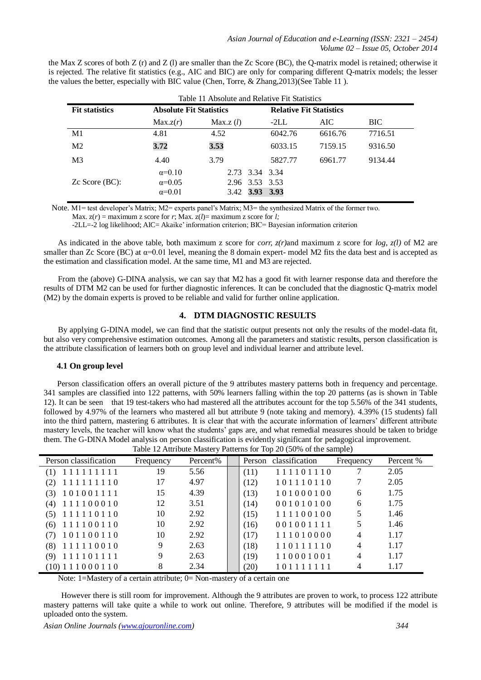|                       | Table 11 Absolute and Relative Fit Statistics |                |         |                                |         |  |  |  |  |  |  |
|-----------------------|-----------------------------------------------|----------------|---------|--------------------------------|---------|--|--|--|--|--|--|
| <b>Fit statistics</b> | <b>Absolute Fit Statistics</b>                |                |         | <b>Relative Fit Statistics</b> |         |  |  |  |  |  |  |
|                       | Max.z(r)                                      | Max.z(l)       | $-2LL$  | AIC-                           | BIC.    |  |  |  |  |  |  |
| M1                    | 4.81                                          | 4.52           | 6042.76 | 6616.76                        | 7716.51 |  |  |  |  |  |  |
| M <sub>2</sub>        | 3.72                                          | 3.53           | 6033.15 | 7159.15                        | 9316.50 |  |  |  |  |  |  |
| M <sub>3</sub>        | 4.40                                          | 3.79           | 5827.77 | 6961.77                        | 9134.44 |  |  |  |  |  |  |
|                       | $\alpha=0.10$                                 | 2.73 3.34 3.34 |         |                                |         |  |  |  |  |  |  |
| $Zc$ Score (BC):      | $\alpha=0.05$                                 | 2.96 3.53 3.53 |         |                                |         |  |  |  |  |  |  |
|                       | $\alpha=0.01$                                 | 3.42 3.93      | 3.93    |                                |         |  |  |  |  |  |  |

the Max Z scores of both Z (r) and Z (l) are smaller than the Zc Score (BC), the Q-matrix model is retained; otherwise it is rejected. The relative fit statistics (e.g., AIC and BIC) are only for comparing different Q-matrix models; the lesser the values the better, especially with BIC value (Chen, Torre, & Zhang,2013)(See Table 11 ).

Note. M1= test developer's Matrix; M2= experts panel's Matrix; M3= the synthesized Matrix of the former two.

-2LL=-2 log likelihood; AIC= Akaike' information criterion; BIC= Bayesian information criterion

As indicated in the above table, both maximum z score for *corr, z(r)*and maximum z score for *log, z(l)* of M2 are smaller than Zc Score (BC) at  $\alpha$ =0.01 level, meaning the 8 domain expert- model M2 fits the data best and is accepted as the estimation and classification model. At the same time, M1 and M3 are rejected.

From the (above) G-DINA analysis, we can say that M2 has a good fit with learner response data and therefore the results of DTM M2 can be used for further diagnostic inferences. It can be concluded that the diagnostic Q-matrix model (M2) by the domain experts is proved to be reliable and valid for further online application.

# **4. DTM DIAGNOSTIC RESULTS**

By applying G-DINA model, we can find that the statistic output presents not only the results of the model-data fit, but also very comprehensive estimation outcomes. Among all the parameters and statistic resul**t**s, person classification is the attribute classification of learners both on group level and individual learner and attribute level.

## **4.1 On group level**

Person classification offers an overall picture of the 9 attributes mastery patterns both in frequency and percentage. 341 samples are classified into 122 patterns, with 50% learners falling within the top 20 patterns (as is shown in Table 12). It can be seen that 19 test-takers who had mastered all the attributes account for the top 5.56% of the 341 students, followed by 4.97% of the learners who mastered all but attribute 9 (note taking and memory). 4.39% (15 students) fall into the third pattern, mastering 6 attributes. It is clear that with the accurate information of learners' different attribute mastery levels, the teacher will know what the students' gaps are, and what remedial measures should be taken to bridge them. The G-DINA Model analysis on person classification is evidently significant for pedagogical improvement.

|                        |           |          |      | racio il ratticato master $\eta$ ratterns for 10 $\rho$ 20 (50% of the sample) |                |           |
|------------------------|-----------|----------|------|--------------------------------------------------------------------------------|----------------|-----------|
| Person classification  | Frequency | Percent% |      | Person classification                                                          | Frequency      | Percent % |
| 111111111<br>(1)       | 19        | 5.56     | (11) | 111101110                                                                      |                | 2.05      |
| 111111110<br>(2)       | 17        | 4.97     | (12) | 101110110                                                                      |                | 2.05      |
| 101001111<br>(3)       | 15        | 4.39     | (13) | 101000100                                                                      | 6              | 1.75      |
| $(4)$ 111100010        | 12        | 3.51     | (14) | 001010100                                                                      | 6              | 1.75      |
| 111110110<br>(5)       | 10        | 2.92     | (15) | 111100100                                                                      |                | 1.46      |
| 111100110<br>(6)       | 10        | 2.92     | (16) | 001001111                                                                      |                | 1.46      |
| 101100110<br>(7)       | 10        | 2.92     | (17) | 111010000                                                                      | $\overline{4}$ | 1.17      |
| $(8)$ 111110010        | 9         | 2.63     | (18) | 110111110                                                                      | 4              | 1.17      |
| 111101111<br>(9)       | 9         | 2.63     | (19) | 110001001                                                                      | 4              | 1.17      |
| (10) 1 1 1 0 0 0 1 1 0 | 8         | 2.34     | (20) | 101111111                                                                      | 4              | 1.17      |

Table 12 Attribute Mastery Patterns for Top 20 (50% of the sample)

Note: 1=Mastery of a certain attribute; 0= Non-mastery of a certain one

However there is still room for improvement. Although the 9 attributes are proven to work, to process 122 attribute mastery patterns will take quite a while to work out online. Therefore, 9 attributes will be modified if the model is uploaded onto the system.

Max.  $z(r) =$  maximum z score for *r*; Max.  $z(l) =$  maximum z score for *l*;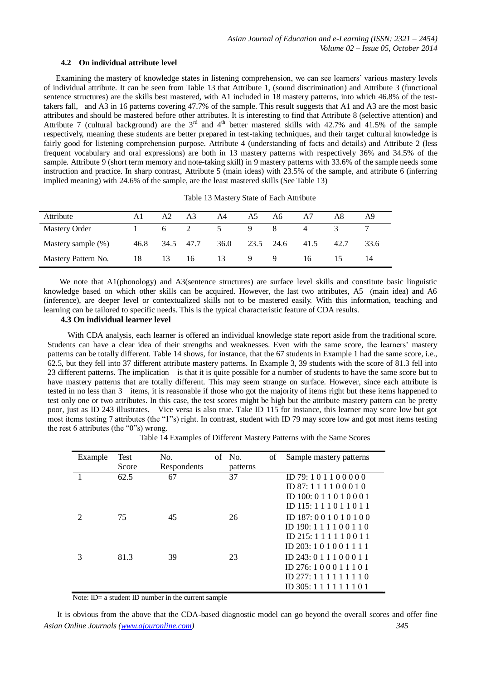#### **4.2 On individual attribute level**

Examining the mastery of knowledge states in listening comprehension, we can see learners' various mastery levels of individual attribute. It can be seen from Table 13 that Attribute 1, (sound discrimination) and Attribute 3 (functional sentence structures) are the skills best mastered, with A1 included in 18 mastery patterns, into which 46.8% of the testtakers fall, and A3 in 16 patterns covering 47.7% of the sample. This result suggests that A1 and A3 are the most basic attributes and should be mastered before other attributes. It is interesting to find that Attribute 8 (selective attention) and Attribute 7 (cultural background) are the  $3<sup>rd</sup>$  and  $4<sup>th</sup>$  better mastered skills with 42.7% and 41.5% of the sample respectively, meaning these students are better prepared in test-taking techniques, and their target cultural knowledge is fairly good for listening comprehension purpose. Attribute 4 (understanding of facts and details) and Attribute 2 (less frequent vocabulary and oral expressions) are both in 13 mastery patterns with respectively 36% and 34.5% of the sample. Attribute 9 (short term memory and note-taking skill) in 9 mastery patterns with 33.6% of the sample needs some instruction and practice. In sharp contrast, Attribute 5 (main ideas) with 23.5% of the sample, and attribute 6 (inferring implied meaning) with 24.6% of the sample, are the least mastered skills (See Table 13)

| Attribute            | Al   | A2  | A <sub>3</sub> | A4             | A5.            | A6             | A7 | A8   | A9   |
|----------------------|------|-----|----------------|----------------|----------------|----------------|----|------|------|
| <b>Mastery Order</b> |      | 6 — | 2              | 5 <sup>5</sup> | $\overline{9}$ | -8             |    |      |      |
| Mastery sample (%)   | 46.8 |     | 34.5 47.7 36.0 |                |                | 23.5 24.6 41.5 |    | 42.7 | 33.6 |
| Mastery Pattern No.  | 18   | 13  | -16            | 13             | 9 9            |                | 16 |      |      |

Table 13 Mastery State of Each Attribute

We note that A1(phonology) and A3(sentence structures) are surface level skills and constitute basic linguistic knowledge based on which other skills can be acquired. However, the last two attributes, A5 (main idea) and A6 (inference), are deeper level or contextualized skills not to be mastered easily. With this information, teaching and learning can be tailored to specific needs. This is the typical characteristic feature of CDA results.

## **4.3 On individual learner level**

With CDA analysis, each learner is offered an individual knowledge state report aside from the traditional score. Students can have a clear idea of their strengths and weaknesses. Even with the same score, the learners' mastery patterns can be totally different. Table 14 shows, for instance, that the 67 students in Example 1 had the same score, i.e., 62.5, but they fell into 37 different attribute mastery patterns. In Example 3, 39 students with the score of 81.3 fell into 23 different patterns. The implication is that it is quite possible for a number of students to have the same score but to have mastery patterns that are totally different. This may seem strange on surface. However, since each attribute is tested in no less than 3 items, it is reasonable if those who got the majority of items right but these items happened to test only one or two attributes. In this case, the test scores might be high but the attribute mastery pattern can be pretty poor, just as ID 243 illustrates. Vice versa is also true. Take ID 115 for instance, this learner may score low but got most items testing 7 attributes (the "1"s) right. In contrast, student with ID 79 may score low and got most items testing the rest 6 attributes (the "0"s) wrong.

Table 14 Examples of Different Mastery Patterns with the Same Scores

| Example | <b>Test</b><br>Score | No.<br>Respondents | of No.<br>patterns | of | Sample mastery patterns     |
|---------|----------------------|--------------------|--------------------|----|-----------------------------|
|         | 62.5                 | 67                 | 37                 |    | ID 79:101100000             |
|         |                      |                    |                    |    |                             |
|         |                      |                    |                    |    | ID 87: $111100010$          |
|         |                      |                    |                    |    | ID 100: $0.11010001$        |
|         |                      |                    |                    |    | ID 115: $111011011$         |
|         | 75                   | 45                 | 26                 |    | ID 187: 0 0 1 0 1 0 1 0 0   |
|         |                      |                    |                    |    | ID 190: $111100110$         |
|         |                      |                    |                    |    | $ID$ 215: 1 1 1 1 1 0 0 1 1 |
|         |                      |                    |                    |    | ID 203:101001111            |
|         | 81.3                 | 39                 | 23                 |    | ID 243: $011100011$         |
|         |                      |                    |                    |    | ID 276: $100011101$         |
|         |                      |                    |                    |    | ID $277:111111110$          |
|         |                      |                    |                    |    | $ID$ 305: 1 1 1 1 1 1 1 0 1 |

Note: ID= a student ID number in the current sample

*Asian Online Journals (www.ajouronline.com) 345* It is obvious from the above that the CDA-based diagnostic model can go beyond the overall scores and offer fine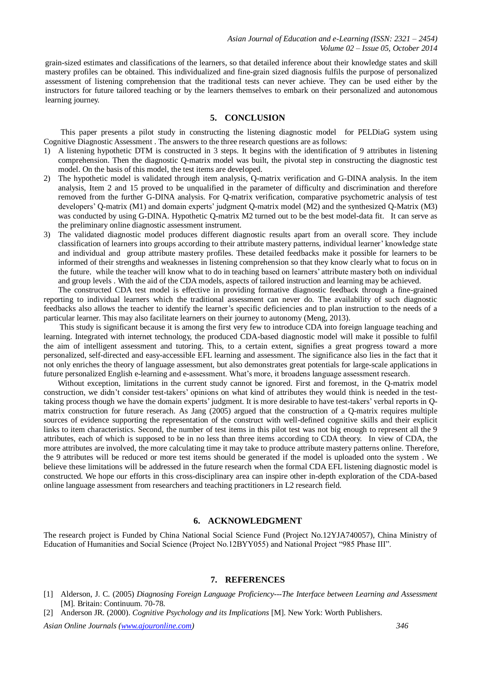grain-sized estimates and classifications of the learners, so that detailed inference about their knowledge states and skill mastery profiles can be obtained. This individualized and fine-grain sized diagnosis fulfils the purpose of personalized assessment of listening comprehension that the traditional tests can never achieve. They can be used either by the instructors for future tailored teaching or by the learners themselves to embark on their personalized and autonomous learning journey.

## **5. CONCLUSION**

This paper presents a pilot study in constructing the listening diagnostic model for PELDiaG system using Cognitive Diagnostic Assessment . The answers to the three research questions are as follows:

- 1) A listening hypothetic DTM is constructed in 3 steps. It begins with the identification of 9 attributes in listening comprehension. Then the diagnostic Q-matrix model was built, the pivotal step in constructing the diagnostic test model. On the basis of this model, the test items are developed.
- 2) The hypothetic model is validated through item analysis, Q-matrix verification and G-DINA analysis. In the item analysis, Item 2 and 15 proved to be unqualified in the parameter of difficulty and discrimination and therefore removed from the further G-DINA analysis. For Q-matrix verification, comparative psychometric analysis of test developers' Q-matrix (M1) and domain experts' judgment Q-matrix model (M2) and the synthesized Q-Matrix (M3) was conducted by using G-DINA. Hypothetic Q-matrix M2 turned out to be the best model-data fit. It can serve as the preliminary online diagnostic assessment instrument.
- 3) The validated diagnostic model produces different diagnostic results apart from an overall score. They include classification of learners into groups according to their attribute mastery patterns, individual learner' knowledge state and individual and group attribute mastery profiles. These detailed feedbacks make it possible for learners to be informed of their strengths and weaknesses in listening comprehension so that they know clearly what to focus on in the future, while the teacher will know what to do in teaching based on learners' attribute mastery both on individual and group levels . With the aid of the CDA models, aspects of tailored instruction and learning may be achieved.

The constructed CDA test model is effective in providing formative diagnostic feedback through a fine-grained reporting to individual learners which the traditional assessment can never do. The availability of such diagnostic feedbacks also allows the teacher to identify the learner's specific deficiencies and to plan instruction to the needs of a particular learner. This may also facilitate learners on their journey to autonomy (Meng, 2013).

This study is significant because it is among the first very few to introduce CDA into foreign language teaching and learning. Integrated with internet technology, the produced CDA-based diagnostic model will make it possible to fulfil the aim of intelligent assessment and tutoring. This, to a certain extent, signifies a great progress toward a more personalized, self-directed and easy-accessible EFL learning and assessment. The significance also lies in the fact that it not only enriches the theory of language assessment, but also demonstrates great potentials for large-scale applications in future personalized English e-learning and e-assessment. What's more, it broadens language assessment research.

Without exception, limitations in the current study cannot be ignored. First and foremost, in the Q-matrix model construction, we didn't consider test-takers' opinions on what kind of attributes they would think is needed in the testtaking process though we have the domain experts' judgment. It is more desirable to have test-takers' verbal reports in Qmatrix construction for future reserach. As Jang (2005) argued that the construction of a Q-matrix requires multiple sources of evidence supporting the representation of the construct with well-defined cognitive skills and their explicit links to item characteristics. Second, the number of test items in this pilot test was not big enough to represent all the 9 attributes, each of which is supposed to be in no less than three items according to CDA theory. In view of CDA, the more attributes are involved, the more calculating time it may take to produce attribute mastery patterns online. Therefore, the 9 attributes will be reduced or more test items should be generated if the model is uploaded onto the system . We believe these limitations will be addressed in the future research when the formal CDA EFL listening diagnostic model is constructed. We hope our efforts in this cross-disciplinary area can inspire other in-depth exploration of the CDA-based online language assessment from researchers and teaching practitioners in L2 research field.

## **6. ACKNOWLEDGMENT**

The research project is Funded by China National Social Science Fund (Project No.12YJA740057), China Ministry of Education of Humanities and Social Science (Project No.12BYY055) and National Project "985 Phase III".

#### **7. REFERENCES**

- [1] Alderson, J. C. (2005) *Diagnosing Foreign Language Proficiency---The Interface between Learning and Assessment*  [M]*.* Britain: Continuum. 70-78.
- [2] Anderson JR. (2000). *Cognitive Psychology and its Implications* [M]. New York: Worth Publishers.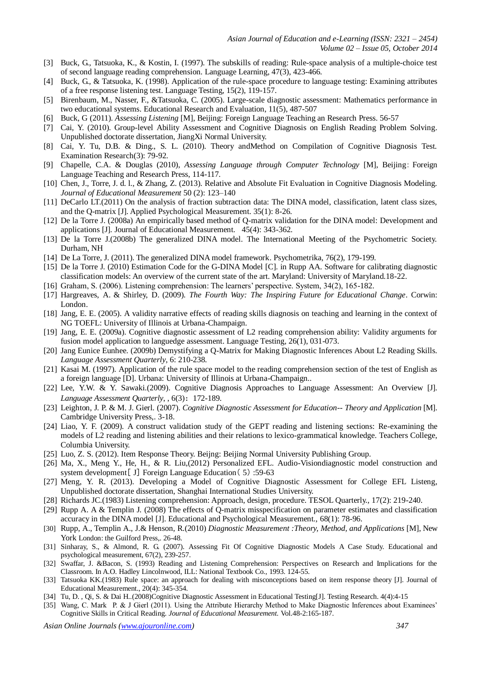- [3] Buck, G., Tatsuoka, K., & Kostin, I. (1997). The subskills of reading: Rule-space analysis of a multiple-choice test of second language reading comprehension. Language Learning, 47(3), 423-466.
- [4] Buck, G., & Tatsuoka, K. (1998). Application of the rule-space procedure to language testing: Examining attributes of a free response listening test. Language Testing, 15(2), 119-157.
- [5] Birenbaum, M., Nasser, F., &Tatsuoka, C. (2005). Large-scale diagnostic assessment: Mathematics performance in two educational systems. Educational Research and Evaluation, 11(5), 487-507
- [6] Buck, G (2011). *Assessing Listening* [M], Beijing: Foreign Language Teaching an Research Press. 56-57
- [7] Cai, Y. (2010). Group-level Ability Assessment and Cognitive Diagnosis on English Reading Problem Solving. Unpublished doctorate dissertation, JiangXi Normal University.
- [8] Cai, Y. Tu, D.B. & Ding., S. L. (2010). Theory andMethod on Compilation of Cognitive Diagnosis Test. Examination Research(3): 79-92.
- [9] Chapelle, C.A. & Douglas (2010), *Assessing Language through Computer Technology* [M], Beijing: Foreign Language Teaching and Research Press, 114-117.
- [10] Chen, J., Torre, J. d. l., & Zhang, Z. (2013). Relative and Absolute Fit Evaluation in Cognitive Diagnosis Modeling. *Journal of Educational Measurement* 50 (2): 123–140
- [11] DeCarlo LT.(2011) On the analysis of fraction subtraction data: The DINA model, classification, latent class sizes, and the Q-matrix [J]. Applied Psychological Measurement. 35(1): 8-26.
- [12] De la Torre J. (2008a) An empirically based method of Q-matrix validation for the DINA model: Development and applications [J]. Journal of Educational Measurement. 45(4): 343-362.
- [13] De la Torre J.(2008b) The generalized DINA model. The International Meeting of the Psychometric Society. Durham, NH
- [14] De La Torre, J. (2011). The generalized DINA model framework. Psychometrika, 76(2), 179-199.
- [15] De la Torre J. (2010) Estimation Code for the G-DINA Model [C]. in Rupp AA. Software for calibrating diagnostic classification models: An overview of the current state of the art. Maryland: University of Maryland.18-22.
- [16] Graham, S. (2006). Listening comprehension: The learners' perspective. System, 34(2), 165-182.
- [17] Hargreaves, A. & Shirley, D. (2009). *The Fourth Way: The Inspiring Future for Educational Change*. Corwin: London.
- [18] Jang, E. E. (2005). A validity narrative effects of reading skills diagnosis on teaching and learning in the context of NG TOEFL: University of Illinois at Urbana-Champaign.
- [19] Jang, E. E. (2009a). Cognitive diagnostic assessment of L2 reading comprehension ability: Validity arguments for fusion model application to languedge assessment. Language Testing, 26(1), 031-073.
- [20] Jang Eunice Eunhee. (2009b) Demystifying a Q-Matrix for Making Diagnostic Inferences About L2 Reading Skills*. Language Assessment Quarterly*, 6: 210-238.
- [21] Kasai M. (1997). Application of the rule space model to the reading comprehension section of the test of English as a foreign language [D]. Urbana: University of Illinois at Urbana-Champaign..
- [22] Lee, Y.W. & Y. Sawaki.(2009). Cognitive Diagnosis Approaches to Language Assessment: An Overview [J]. *Language Assessment Quarterly*, , 6(3):172-189.
- [23] Leighton, J. P. & M. J. Gierl. (2007). *Cognitive Diagnostic Assessment for Education-- Theory and Application* [M]. Cambridge University Press,. 3-18.
- [24] Liao, Y. F. (2009). A construct validation study of the GEPT reading and listening sections: Re-examining the models of L2 reading and listening abilities and their relations to lexico-grammatical knowledge. Teachers College, Columbia University.
- [25] Luo, Z. S. (2012). Item Response Theory. Beijng: Beijing Normal University Publishing Group.
- [26] Ma, X., Meng Y., He, H., & R. Liu,(2012) Personalized EFL. Audio-Visiondiagnostic model construction and system development[ J] Foreign Language Education( 5) :59-63
- [27] Meng, Y. R. (2013). Developing a Model of Cognitive Diagnostic Assessment for College EFL Listeng, Unpublished doctorate dissertation, Shanghai International Studies University.
- [28] Richards JC.(1983) Listening comprehension: Approach, design, procedure. TESOL Quarterly., 17(2): 219-240.
- [29] Rupp A. A & Templin J. (2008) The effects of Q-matrix misspecification on parameter estimates and classification accuracy in the DINA model [J]. Educational and Psychological Measurement., 68(1): 78-96.
- [30] Rupp, A., Templin A., J.& Henson, R.(2010) *Diagnostic Measurement :Theory, Method, and Applications* [M], New York London: the Guilford Press,. 26-48.
- [31] Sinharay, S., & Almond, R. G. (2007). Assessing Fit Of Cognitive Diagnostic Models A Case Study. Educational and psychological measurement, 67(2), 239-257.
- [32] Swaffar, J. &Bacon, S. (1993) Reading and Listening Comprehension: Perspectives on Research and Implications for the Classroom. In A.O. Hadley Lincolnwood, ILL: National Textbook Co., 1993. 124-55.
- [33] Tatsuoka KK.(1983) Rule space: an approach for dealing with misconceptions based on item response theory [J]. Journal of Educational Measurement., 20(4): 345-354.
- [34] Tu, D. , Qi, S. & Dai H..(2008)Cognitive Diagnostic Assessment in Educational Testing[J]. Testing Research. 4(4):4-15
- [35] Wang, C. Mark P. & J Gierl (2011). Using the Attribute Hierarchy Method to Make Diagnostic Inferences about Examinees' Cognitive Skills in Critical Reading. *Journal of Educational Measurement.* Vol.48-2:165-187.

*Asian Online Journals (www.ajouronline.com) 347*